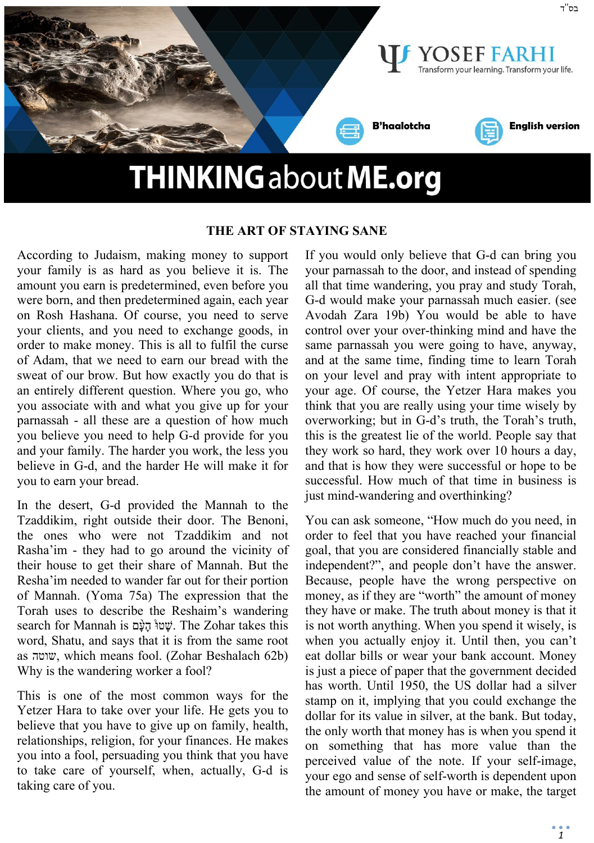

#### **THE ART OF STAYING SANE**

According to Judaism, making money to support your family is as hard as you believe it is. The amount you earn is predetermined, even before you were born, and then predetermined again, each year on Rosh Hashana. Of course, you need to serve your clients, and you need to exchange goods, in order to make money. This is all to fulfil the curse of Adam, that we need to earn our bread with the sweat of our brow. But how exactly you do that is an entirely different question. Where you go, who you associate with and what you give up for your parnassah - all these are a question of how much you believe you need to help G-d provide for you and your family. The harder you work, the less you believe in G-d, and the harder He will make it for you to earn your bread.

In the desert, G-d provided the Mannah to the Tzaddikim, right outside their door. The Benoni, the ones who were not Tzaddikim and not Rasha'im - they had to go around the vicinity of their house to get their share of Mannah. But the Resha'im needed to wander far out for their portion of Mannah. (Yoma 75a) The expression that the Torah uses to describe the Reshaim's wandering search for Mannah is שְׁטוּ ּ הָעָם. The Zohar takes this word, Shatu, and says that it is from the same root as שוטה, which means fool. (Zohar Beshalach 62b) Why is the wandering worker a fool?

This is one of the most common ways for the Yetzer Hara to take over your life. He gets you to believe that you have to give up on family, health, relationships, religion, for your finances. He makes you into a fool, persuading you think that you have to take care of yourself, when, actually, G-d is taking care of you.

If you would only believe that G-d can bring you your parnassah to the door, and instead of spending all that time wandering, you pray and study Torah, G-d would make your parnassah much easier. (see Avodah Zara 19b) You would be able to have control over your over-thinking mind and have the same parnassah you were going to have, anyway, and at the same time, finding time to learn Torah on your level and pray with intent appropriate to your age. Of course, the Yetzer Hara makes you think that you are really using your time wisely by overworking; but in G-d's truth, the Torah's truth, this is the greatest lie of the world. People say that they work so hard, they work over 10 hours a day, and that is how they were successful or hope to be successful. How much of that time in business is just mind-wandering and overthinking?

You can ask someone, "How much do you need, in order to feel that you have reached your financial goal, that you are considered financially stable and independent?", and people don't have the answer. Because, people have the wrong perspective on money, as if they are "worth" the amount of money they have or make. The truth about money is that it is not worth anything. When you spend it wisely, is when you actually enjoy it. Until then, you can't eat dollar bills or wear your bank account. Money is just a piece of paper that the government decided has worth. Until 1950, the US dollar had a silver stamp on it, implying that you could exchange the dollar for its value in silver, at the bank. But today, the only worth that money has is when you spend it on something that has more value than the perceived value of the note. If your self-image, your ego and sense of self-worth is dependent upon the amount of money you have or make, the target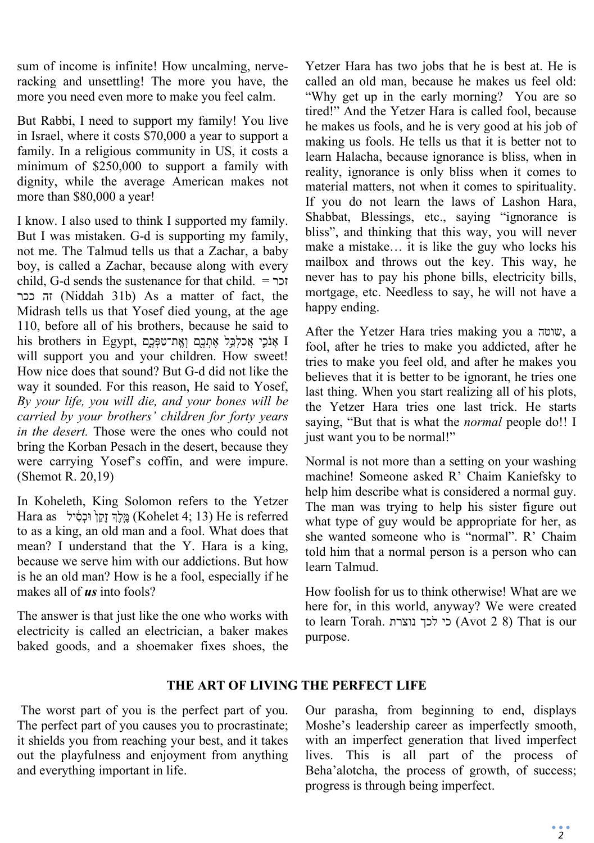sum of income is infinite! How uncalming, nerveracking and unsettling! The more you have, the more you need even more to make you feel calm.

But Rabbi, I need to support my family! You live in Israel, where it costs \$70,000 a year to support a family. In a religious community in US, it costs a minimum of \$250,000 to support a family with dignity, while the average American makes not more than \$80,000 a year!

I know. I also used to think I supported my family. But I was mistaken. G-d is supporting my family, not me. The Talmud tells us that a Zachar, a baby boy, is called a Zachar, because along with every child, G-d sends the sustenance for that child. = זכר ככר זה) Niddah 31b) As a matter of fact, the Midrash tells us that Yosef died young, at the age 110, before all of his brothers, because he said to his brothers in Egypt, וְאֱת־טַפְּכֵם וְאֵת־טַפְּבֵ will support you and your children. How sweet! How nice does that sound? But G-d did not like the way it sounded. For this reason, He said to Yosef, *By your life, you will die, and your bones will be carried by your brothers' children for forty years in the desert.* Those were the ones who could not bring the Korban Pesach in the desert, because they were carrying Yosef's coffin, and were impure. (Shemot R. 20,19)

In Koheleth, King Solomon refers to the Yetzer Fe is referred is מֱלֶךְ זָקֵן וּכְסָיל (Kohelet 4; 13) He is referred to as a king, an old man and a fool. What does that mean? I understand that the Y. Hara is a king, because we serve him with our addictions. But how is he an old man? How is he a fool, especially if he makes all of *us* into fools?

The answer is that just like the one who works with electricity is called an electrician, a baker makes baked goods, and a shoemaker fixes shoes, the

Yetzer Hara has two jobs that he is best at. He is called an old man, because he makes us feel old: "Why get up in the early morning? You are so tired!" And the Yetzer Hara is called fool, because he makes us fools, and he is very good at his job of making us fools. He tells us that it is better not to learn Halacha, because ignorance is bliss, when in reality, ignorance is only bliss when it comes to material matters, not when it comes to spirituality. If you do not learn the laws of Lashon Hara, Shabbat, Blessings, etc., saying "ignorance is bliss", and thinking that this way, you will never make a mistake… it is like the guy who locks his mailbox and throws out the key. This way, he never has to pay his phone bills, electricity bills, mortgage, etc. Needless to say, he will not have a happy ending.

After the Yetzer Hara tries making you a שוטה, a fool, after he tries to make you addicted, after he tries to make you feel old, and after he makes you believes that it is better to be ignorant, he tries one last thing. When you start realizing all of his plots, the Yetzer Hara tries one last trick. He starts saying, "But that is what the *normal* people do!! I just want you to be normal!"

Normal is not more than a setting on your washing machine! Someone asked R' Chaim Kaniefsky to help him describe what is considered a normal guy. The man was trying to help his sister figure out what type of guy would be appropriate for her, as she wanted someone who is "normal". R' Chaim told him that a normal person is a person who can learn Talmud.

How foolish for us to think otherwise! What are we here for, in this world, anyway? We were created to learn Torah. נוצרת לכך כי) Avot 2 8) That is our purpose.

# **THE ART OF LIVING THE PERFECT LIFE**

The worst part of you is the perfect part of you. The perfect part of you causes you to procrastinate; it shields you from reaching your best, and it takes out the playfulness and enjoyment from anything and everything important in life.

Our parasha, from beginning to end, displays Moshe's leadership career as imperfectly smooth, with an imperfect generation that lived imperfect lives. This is all part of the process of Beha'alotcha, the process of growth, of success; progress is through being imperfect.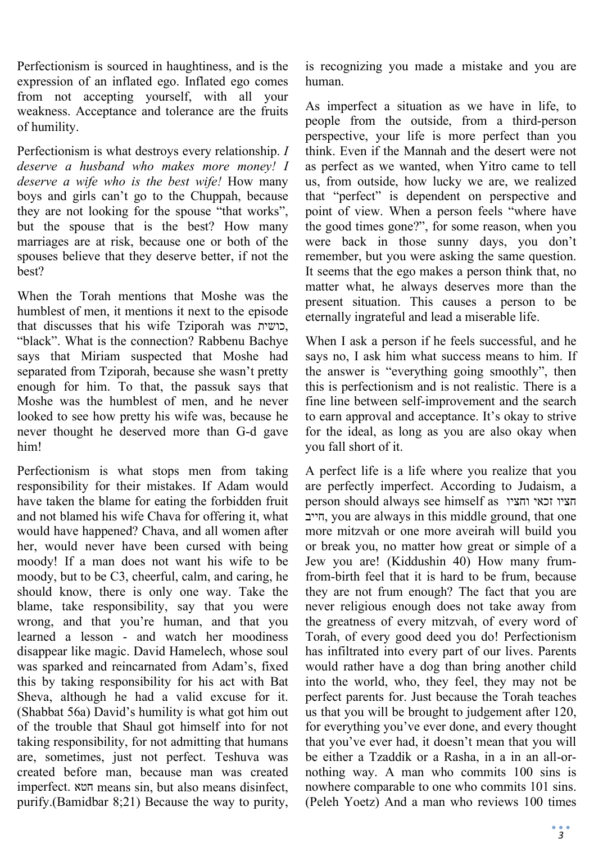Perfectionism is sourced in haughtiness, and is the expression of an inflated ego. Inflated ego comes from not accepting yourself, with all your weakness. Acceptance and tolerance are the fruits of humility.

Perfectionism is what destroys every relationship. *I deserve a husband who makes more money! I deserve a wife who is the best wife!* How many boys and girls can't go to the Chuppah, because they are not looking for the spouse "that works", but the spouse that is the best? How many marriages are at risk, because one or both of the spouses believe that they deserve better, if not the best?

When the Torah mentions that Moshe was the humblest of men, it mentions it next to the episode that discusses that his wife Tziporah was כושית, "black". What is the connection? Rabbenu Bachye says that Miriam suspected that Moshe had separated from Tziporah, because she wasn't pretty enough for him. To that, the passuk says that Moshe was the humblest of men, and he never looked to see how pretty his wife was, because he never thought he deserved more than G-d gave him!

Perfectionism is what stops men from taking responsibility for their mistakes. If Adam would have taken the blame for eating the forbidden fruit and not blamed his wife Chava for offering it, what would have happened? Chava, and all women after her, would never have been cursed with being moody! If a man does not want his wife to be moody, but to be C3, cheerful, calm, and caring, he should know, there is only one way. Take the blame, take responsibility, say that you were wrong, and that you're human, and that you learned a lesson - and watch her moodiness disappear like magic. David Hamelech, whose soul was sparked and reincarnated from Adam's, fixed this by taking responsibility for his act with Bat Sheva, although he had a valid excuse for it. (Shabbat 56a) David's humility is what got him out of the trouble that Shaul got himself into for not taking responsibility, for not admitting that humans are, sometimes, just not perfect. Teshuva was created before man, because man was created imperfect. חטא means sin, but also means disinfect, purify.(Bamidbar 8;21) Because the way to purity,

is recognizing you made a mistake and you are human.

As imperfect a situation as we have in life, to people from the outside, from a third-person perspective, your life is more perfect than you think. Even if the Mannah and the desert were not as perfect as we wanted, when Yitro came to tell us, from outside, how lucky we are, we realized that "perfect" is dependent on perspective and point of view. When a person feels "where have the good times gone?", for some reason, when you were back in those sunny days, you don't remember, but you were asking the same question. It seems that the ego makes a person think that, no matter what, he always deserves more than the present situation. This causes a person to be eternally ingrateful and lead a miserable life.

When I ask a person if he feels successful, and he says no, I ask him what success means to him. If the answer is "everything going smoothly", then this is perfectionism and is not realistic. There is a fine line between self-improvement and the search to earn approval and acceptance. It's okay to strive for the ideal, as long as you are also okay when you fall short of it.

A perfect life is a life where you realize that you are perfectly imperfect. According to Judaism, a person should always see himself as וחציו זכאי חציו חייב, you are always in this middle ground, that one more mitzvah or one more aveirah will build you or break you, no matter how great or simple of a Jew you are! (Kiddushin 40) How many frumfrom-birth feel that it is hard to be frum, because they are not frum enough? The fact that you are never religious enough does not take away from the greatness of every mitzvah, of every word of Torah, of every good deed you do! Perfectionism has infiltrated into every part of our lives. Parents would rather have a dog than bring another child into the world, who, they feel, they may not be perfect parents for. Just because the Torah teaches us that you will be brought to judgement after 120, for everything you've ever done, and every thought that you've ever had, it doesn't mean that you will be either a Tzaddik or a Rasha, in a in an all-ornothing way. A man who commits 100 sins is nowhere comparable to one who commits 101 sins. (Peleh Yoetz) And a man who reviews 100 times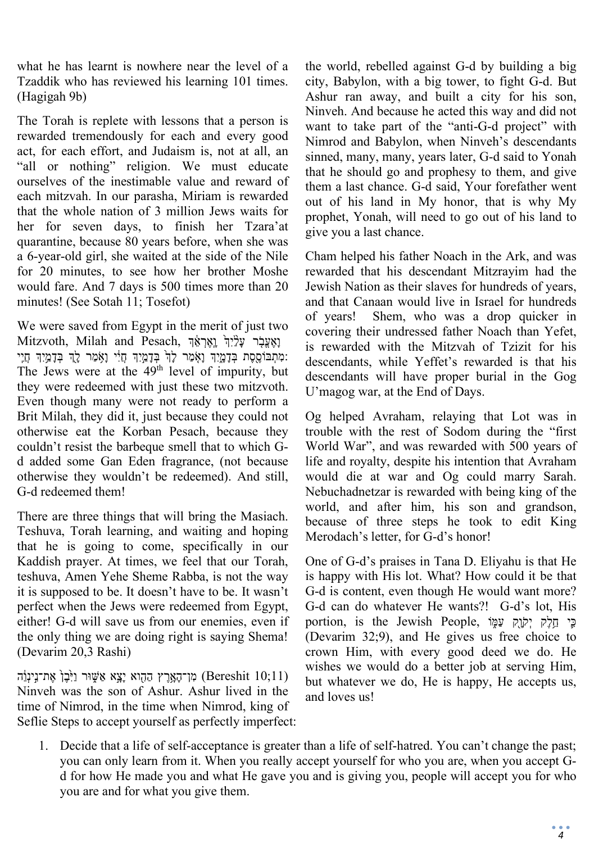what he has learnt is nowhere near the level of a Tzaddik who has reviewed his learning 101 times. (Hagigah 9b)

The Torah is replete with lessons that a person is rewarded tremendously for each and every good act, for each effort, and Judaism is, not at all, an "all or nothing" religion. We must educate ourselves of the inestimable value and reward of each mitzvah. In our parasha, Miriam is rewarded that the whole nation of 3 million Jews waits for her for seven days, to finish her Tzara'at quarantine, because 80 years before, when she was a 6-year-old girl, she waited at the side of the Nile for 20 minutes, to see how her brother Moshe would fare. And 7 days is 500 times more than 20 minutes! (See Sotah 11; Tosefot)

We were saved from Egypt in the merit of just two וַאֵעֲבָר עָלָיִךְ וָאֵרְאֵךְ יָחֲלֹאֵךְ אֵדֹּ Mitzvoth, Milah and Pesach, :מִתְבּוֹסֵסֶת בְּדָמֲיִךְ וָאָמַר לָדְ בְּדָמְיִךְ חַיִּי וַאָמַר לָדְ בִּדָמְיִךְ חַיִי The Jews were at the  $49<sup>th</sup>$  level of impurity, but they were redeemed with just these two mitzvoth. Even though many were not ready to perform a Brit Milah, they did it, just because they could not otherwise eat the Korban Pesach, because they couldn't resist the barbeque smell that to which Gd added some Gan Eden fragrance, (not because otherwise they wouldn't be redeemed). And still, G-d redeemed them!

There are three things that will bring the Masiach. Teshuva, Torah learning, and waiting and hoping that he is going to come, specifically in our Kaddish prayer. At times, we feel that our Torah, teshuva, Amen Yehe Sheme Rabba, is not the way it is supposed to be. It doesn't have to be. It wasn't perfect when the Jews were redeemed from Egypt, either! G-d will save us from our enemies, even if the only thing we are doing right is saying Shema! (Devarim 20,3 Rashi)

מִן־הָאָרֶץ הַהָוא יָצֵא אַשֶּׁוּר וַיִּבֶן אֶת־נִינְוֵֹה (Bereshit 10;11) Ninveh was the son of Ashur. Ashur lived in the time of Nimrod, in the time when Nimrod, king of Seflie Steps to accept yourself as perfectly imperfect: the world, rebelled against G-d by building a big city, Babylon, with a big tower, to fight G-d. But Ashur ran away, and built a city for his son, Ninveh. And because he acted this way and did not want to take part of the "anti-G-d project" with Nimrod and Babylon, when Ninveh's descendants sinned, many, many, years later, G-d said to Yonah that he should go and prophesy to them, and give them a last chance. G-d said, Your forefather went out of his land in My honor, that is why My prophet, Yonah, will need to go out of his land to give you a last chance.

Cham helped his father Noach in the Ark, and was rewarded that his descendant Mitzrayim had the Jewish Nation as their slaves for hundreds of years, and that Canaan would live in Israel for hundreds of years! Shem, who was a drop quicker in covering their undressed father Noach than Yefet, is rewarded with the Mitzvah of Tzizit for his descendants, while Yeffet's rewarded is that his descendants will have proper burial in the Gog U'magog war, at the End of Days.

Og helped Avraham, relaying that Lot was in trouble with the rest of Sodom during the "first World War", and was rewarded with 500 years of life and royalty, despite his intention that Avraham would die at war and Og could marry Sarah. Nebuchadnetzar is rewarded with being king of the world, and after him, his son and grandson, because of three steps he took to edit King Merodach's letter, for G-d's honor!

One of G-d's praises in Tana D. Eliyahu is that He is happy with His lot. What? How could it be that G-d is content, even though He would want more? G-d can do whatever He wants?! G-d's lot, His portion, is the Jewish People, כֵּי חֲלֵק יִקֹוָק עַמִּוֹ (Devarim 32;9), and He gives us free choice to crown Him, with every good deed we do. He wishes we would do a better job at serving Him, but whatever we do, He is happy, He accepts us, and loves us!

1. Decide that a life of self-acceptance is greater than a life of self-hatred. You can't change the past; you can only learn from it. When you really accept yourself for who you are, when you accept Gd for how He made you and what He gave you and is giving you, people will accept you for who you are and for what you give them.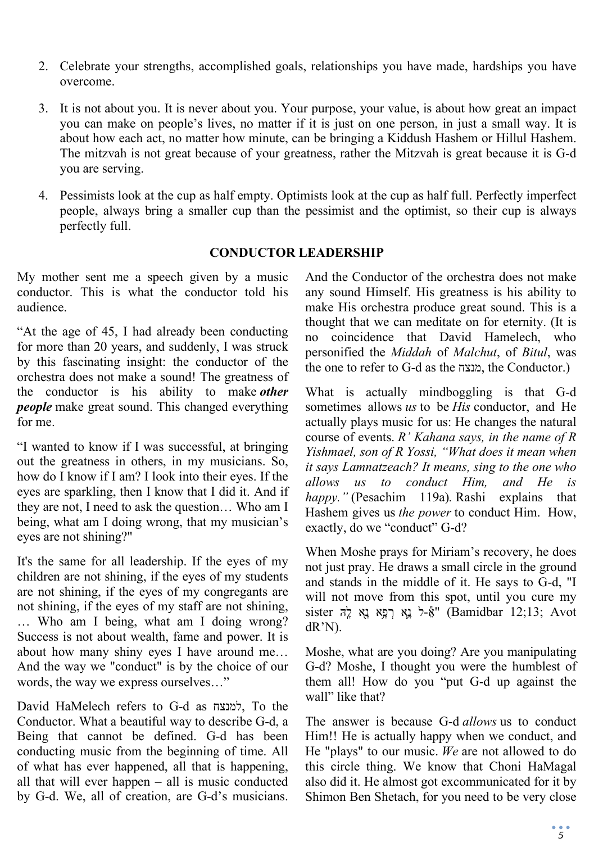- 2. Celebrate your strengths, accomplished goals, relationships you have made, hardships you have overcome.
- 3. It is not about you. It is never about you. Your purpose, your value, is about how great an impact you can make on people's lives, no matter if it is just on one person, in just a small way. It is about how each act, no matter how minute, can be bringing a Kiddush Hashem or Hillul Hashem. The mitzvah is not great because of your greatness, rather the Mitzvah is great because it is G-d you are serving.
- 4. Pessimists look at the cup as half empty. Optimists look at the cup as half full. Perfectly imperfect people, always bring a smaller cup than the pessimist and the optimist, so their cup is always perfectly full.

#### **CONDUCTOR LEADERSHIP**

My mother sent me a speech given by a music conductor. This is what the conductor told his audience.

"At the age of 45, I had already been conducting for more than 20 years, and suddenly, I was struck by this fascinating insight: the conductor of the orchestra does not make a sound! The greatness of the conductor is his ability to make *other people* make great sound. This changed everything for me.

"I wanted to know if I was successful, at bringing out the greatness in others, in my musicians. So, how do I know if I am? I look into their eyes. If the eyes are sparkling, then I know that I did it. And if they are not, I need to ask the question… Who am I being, what am I doing wrong, that my musician's eyes are not shining?"

It's the same for all leadership. If the eyes of my children are not shining, if the eyes of my students are not shining, if the eyes of my congregants are not shining, if the eyes of my staff are not shining, … Who am I being, what am I doing wrong? Success is not about wealth, fame and power. It is about how many shiny eyes I have around me… And the way we "conduct" is by the choice of our words, the way we express ourselves…"

David HaMelech refers to G-d as למנצח, To the Conductor. What a beautiful way to describe G-d, a Being that cannot be defined. G-d has been conducting music from the beginning of time. All of what has ever happened, all that is happening, all that will ever happen – all is music conducted by G-d. We, all of creation, are G-d's musicians.

And the Conductor of the orchestra does not make any sound Himself. His greatness is his ability to make His orchestra produce great sound. This is a thought that we can meditate on for eternity. (It is no coincidence that David Hamelech, who personified the *Middah* of *Malchut*, of *Bitul*, was the one to refer to G-d as the מנצח, the Conductor.)

What is actually mindboggling is that G-d sometimes allows *us* to be *His* conductor, and He actually plays music for us: He changes the natural course of events. *R' Kahana says, in the name of R Yishmael, son of R Yossi, "What does it mean when it says Lamnatzeach? It means, sing to the one who allows us to conduct Him, and He is happy."* (Pesachim 119a)*.* Rashi explains that Hashem gives us *the power* to conduct Him. How, exactly, do we "conduct" G-d?

When Moshe prays for Miriam's recovery, he does not just pray. He draws a small circle in the ground and stands in the middle of it. He says to G-d, "I will not move from this spot, until you cure my  $s$ ister אָל נָא רְפָא נָא לָה (Bamidbar 12;13; Avot dR'N).

Moshe, what are you doing? Are you manipulating G-d? Moshe, I thought you were the humblest of them all! How do you "put G-d up against the wall" like that?

The answer is because G-d *allows* us to conduct Him!! He is actually happy when we conduct, and He "plays" to our music. *We* are not allowed to do this circle thing. We know that Choni HaMagal also did it. He almost got excommunicated for it by Shimon Ben Shetach, for you need to be very close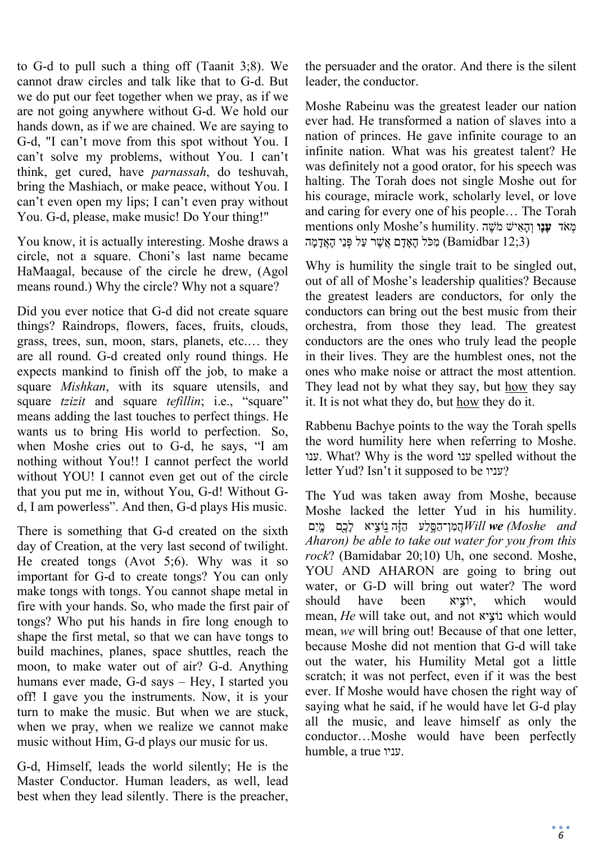to G-d to pull such a thing off (Taanit 3;8). We cannot draw circles and talk like that to G-d. But we do put our feet together when we pray, as if we are not going anywhere without G-d. We hold our hands down, as if we are chained. We are saying to G-d, "I can't move from this spot without You. I can't solve my problems, without You. I can't think, get cured, have *parnassah*, do teshuvah, bring the Mashiach, or make peace, without You. I can't even open my lips; I can't even pray without You. G-d, please, make music! Do Your thing!"

You know, it is actually interesting. Moshe draws a circle, not a square. Choni's last name became HaMaagal, because of the circle he drew, (Agol means round.) Why the circle? Why not a square?

Did you ever notice that G-d did not create square things? Raindrops, flowers, faces, fruits, clouds, grass, trees, sun, moon, stars, planets, etc.… they are all round. G-d created only round things. He expects mankind to finish off the job, to make a square *Mishkan*, with its square utensils, and square *tzizit* and square *tefillin*; i.e., "square" means adding the last touches to perfect things. He wants us to bring His world to perfection. So, when Moshe cries out to G-d, he says, "I am nothing without You!! I cannot perfect the world without YOU! I cannot even get out of the circle that you put me in, without You, G-d! Without Gd, I am powerless". And then, G-d plays His music.

There is something that G-d created on the sixth day of Creation, at the very last second of twilight. He created tongs (Avot 5;6). Why was it so important for G-d to create tongs? You can only make tongs with tongs. You cannot shape metal in fire with your hands. So, who made the first pair of tongs? Who put his hands in fire long enough to shape the first metal, so that we can have tongs to build machines, planes, space shuttles, reach the moon, to make water out of air? G-d. Anything humans ever made, G-d says – Hey, I started you off! I gave you the instruments. Now, it is your turn to make the music. But when we are stuck, when we pray, when we realize we cannot make music without Him, G-d plays our music for us.

G-d, Himself, leads the world silently; He is the Master Conductor. Human leaders, as well, lead best when they lead silently. There is the preacher, the persuader and the orator. And there is the silent leader, the conductor.

Moshe Rabeinu was the greatest leader our nation ever had. He transformed a nation of slaves into a nation of princes. He gave infinite courage to an infinite nation. What was his greatest talent? He was definitely not a good orator, for his speech was halting. The Torah does not single Moshe out for his courage, miracle work, scholarly level, or love and caring for every one of his people… The Torah mentions only Moshe's humility. מְאֹד **עָנַו** וְהָאִישׁ מֹשֶׁה (3;3) damidbar (מִכֹּל הָאֲדָם אֱשֶׁר עַל פְּנֵי הָאֲדָמַה)

Why is humility the single trait to be singled out, out of all of Moshe's leadership qualities? Because the greatest leaders are conductors, for only the conductors can bring out the best music from their orchestra, from those they lead. The greatest conductors are the ones who truly lead the people in their lives. They are the humblest ones, not the ones who make noise or attract the most attention. They lead not by what they say, but how they say it. It is not what they do, but how they do it.

Rabbenu Bachye points to the way the Torah spells the word humility here when referring to Moshe. ענו. What? Why is the word ענו spelled without the letter Yud? Isn't it supposed to be עניו?

The Yud was taken away from Moshe, because Moshe lacked the letter Yud in his humility. הַמְן־הַסֵּלֵע הַזֶּה נַוֹצִיא לָכֵם מֵיִם and *Aharon) be able to take out water for you from this rock*? (Bamidabar 20;10) Uh, one second. Moshe, YOU AND AHARON are going to bring out water, or G-D will bring out water? The word should have been יוֹציא, which would mean, *He* will take out, and not נוֹציא which would mean, *we* will bring out! Because of that one letter, because Moshe did not mention that G-d will take out the water, his Humility Metal got a little scratch; it was not perfect, even if it was the best ever. If Moshe would have chosen the right way of saying what he said, if he would have let G-d play all the music, and leave himself as only the conductor…Moshe would have been perfectly humble, a true עניו.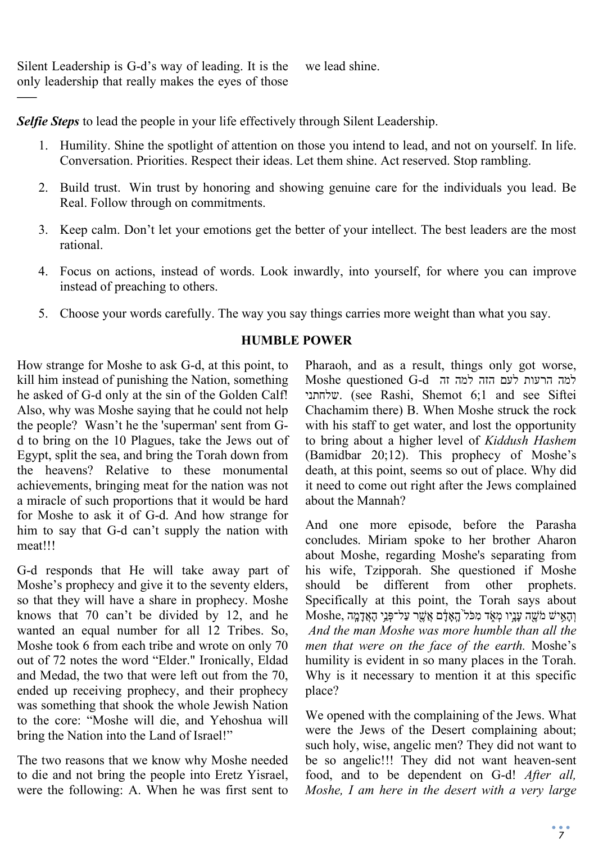Silent Leadership is G-d's way of leading. It is the only leadership that really makes the eyes of those we lead shine.

*—–*

*Selfie Steps* to lead the people in your life effectively through Silent Leadership.

- 1. Humility. Shine the spotlight of attention on those you intend to lead, and not on yourself. In life. Conversation. Priorities. Respect their ideas. Let them shine. Act reserved. Stop rambling.
- 2. Build trust. Win trust by honoring and showing genuine care for the individuals you lead. Be Real. Follow through on commitments.
- 3. Keep calm. Don't let your emotions get the better of your intellect. The best leaders are the most rational.
- 4. Focus on actions, instead of words. Look inwardly, into yourself, for where you can improve instead of preaching to others.
- 5. Choose your words carefully. The way you say things carries more weight than what you say.

# **HUMBLE POWER**

How strange for Moshe to ask G-d, at this point, to kill him instead of punishing the Nation, something he asked of G-d only at the sin of the Golden Calf! Also, why was Moshe saying that he could not help the people? Wasn't he the 'superman' sent from Gd to bring on the 10 Plagues, take the Jews out of Egypt, split the sea, and bring the Torah down from the heavens? Relative to these monumental achievements, bringing meat for the nation was not a miracle of such proportions that it would be hard for Moshe to ask it of G-d. And how strange for him to say that G-d can't supply the nation with meat!!!

G-d responds that He will take away part of Moshe's prophecy and give it to the seventy elders, so that they will have a share in prophecy. Moshe knows that 70 can't be divided by 12, and he wanted an equal number for all 12 Tribes. So, Moshe took 6 from each tribe and wrote on only 70 out of 72 notes the word "Elder." Ironically, Eldad and Medad, the two that were left out from the 70, ended up receiving prophecy, and their prophecy was something that shook the whole Jewish Nation to the core: "Moshe will die, and Yehoshua will bring the Nation into the Land of Israel!"

The two reasons that we know why Moshe needed to die and not bring the people into Eretz Yisrael, were the following: A. When he was first sent to Pharaoh, and as a result, things only got worse, למה הרעות לעם הזה למה זה d-G questioned Moshe שלחתני.) see Rashi, Shemot 6;1 and see Siftei Chachamim there) B. When Moshe struck the rock with his staff to get water, and lost the opportunity to bring about a higher level of *Kiddush Hashem* (Bamidbar 20;12). This prophecy of Moshe's death, at this point, seems so out of place. Why did it need to come out right after the Jews complained about the Mannah?

And one more episode, before the Parasha concludes. Miriam spoke to her brother Aharon about Moshe, regarding Moshe's separating from his wife, Tzipporah. She questioned if Moshe should be different from other prophets. Specifically at this point, the Torah says about  $\rm{Moshe}, \rm{r}$ וְהָאֵישׁ מֹשֶׁה עֲנֵיו מְאָד מְכֹּל $\rm{r}$ הָאֲדָם אֱשֶׁר עַל־פְּנֵי הָאֲדָמֵה *And the man Moshe was more humble than all the men that were on the face of the earth.* Moshe's humility is evident in so many places in the Torah. Why is it necessary to mention it at this specific place?

We opened with the complaining of the Jews. What were the Jews of the Desert complaining about; such holy, wise, angelic men? They did not want to be so angelic!!! They did not want heaven-sent food, and to be dependent on G-d! *After all, Moshe, I am here in the desert with a very large*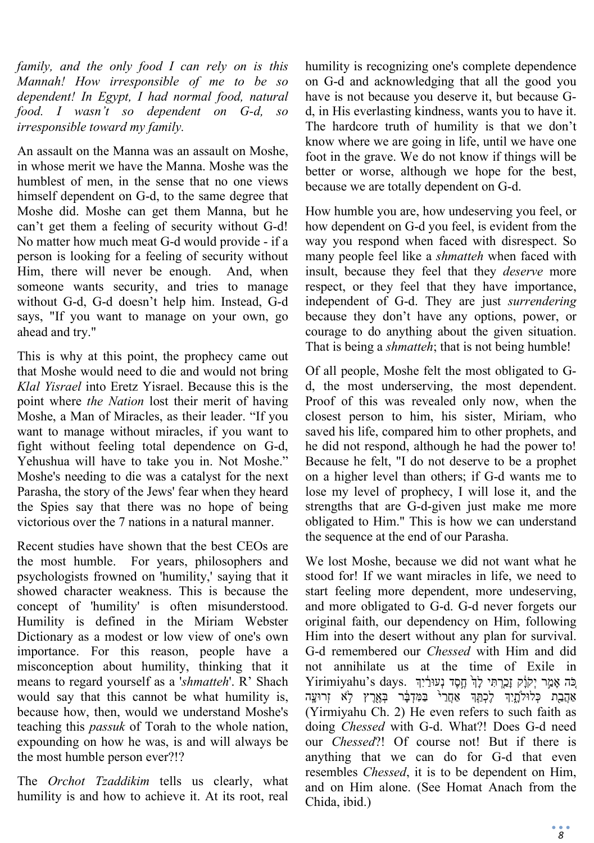*family, and the only food I can rely on is this Mannah! How irresponsible of me to be so dependent! In Egypt, I had normal food, natural food. I wasn't so dependent on G-d, so irresponsible toward my family.* 

An assault on the Manna was an assault on Moshe, in whose merit we have the Manna. Moshe was the humblest of men, in the sense that no one views himself dependent on G-d, to the same degree that Moshe did. Moshe can get them Manna, but he can't get them a feeling of security without G-d! No matter how much meat G-d would provide - if a person is looking for a feeling of security without Him, there will never be enough. And, when someone wants security, and tries to manage without G-d, G-d doesn't help him. Instead, G-d says, "If you want to manage on your own, go ahead and try."

This is why at this point, the prophecy came out that Moshe would need to die and would not bring *Klal Yisrael* into Eretz Yisrael. Because this is the point where *the Nation* lost their merit of having Moshe, a Man of Miracles, as their leader. "If you want to manage without miracles, if you want to fight without feeling total dependence on G-d, Yehushua will have to take you in. Not Moshe." Moshe's needing to die was a catalyst for the next Parasha, the story of the Jews' fear when they heard the Spies say that there was no hope of being victorious over the 7 nations in a natural manner.

Recent studies have shown that the best CEOs are the most humble. For years, philosophers and psychologists frowned on 'humility,' saying that it showed character weakness. This is because the concept of 'humility' is often misunderstood. Humility is defined in the Miriam Webster Dictionary as a modest or low view of one's own importance. For this reason, people have a misconception about humility, thinking that it means to regard yourself as a '*shmatteh*'. R' Shach would say that this cannot be what humility is, because how, then, would we understand Moshe's teaching this *passuk* of Torah to the whole nation, expounding on how he was, is and will always be the most humble person ever?!?

The *Orchot Tzaddikim* tells us clearly, what humility is and how to achieve it. At its root, real humility is recognizing one's complete dependence on G-d and acknowledging that all the good you have is not because you deserve it, but because Gd, in His everlasting kindness, wants you to have it. The hardcore truth of humility is that we don't know where we are going in life, until we have one foot in the grave. We do not know if things will be better or worse, although we hope for the best, because we are totally dependent on G-d.

How humble you are, how undeserving you feel, or how dependent on G-d you feel, is evident from the way you respond when faced with disrespect. So many people feel like a *shmatteh* when faced with insult, because they feel that they *deserve* more respect, or they feel that they have importance, independent of G-d. They are just *surrendering* because they don't have any options, power, or courage to do anything about the given situation. That is being a *shmatteh*; that is not being humble!

Of all people, Moshe felt the most obligated to Gd, the most underserving, the most dependent. Proof of this was revealed only now, when the closest person to him, his sister, Miriam, who saved his life, compared him to other prophets, and he did not respond, although he had the power to! Because he felt, "I do not deserve to be a prophet on a higher level than others; if G-d wants me to lose my level of prophecy, I will lose it, and the strengths that are G-d-given just make me more obligated to Him." This is how we can understand the sequence at the end of our Parasha.

We lost Moshe, because we did not want what he stood for! If we want miracles in life, we need to start feeling more dependent, more undeserving, and more obligated to G-d. G-d never forgets our original faith, our dependency on Him, following Him into the desert without any plan for survival. G-d remembered our *Chessed* with Him and did not annihilate us at the time of Exile in Yirimiyahu's days. בְּה אָמֵר יְקֹנָק זָכָרְתִּי לָךְ חֶסֶד נְעוּרַ֫יִךְ אַהֲבָת כְּלוּלְתָיִךְ לֶכְתֵּֽךְ אַחֲר<sup>ַ בַּ</sup>מִּדְבָּר בְּאֶרֶץ לֹא זְרוּעָָה (Yirmiyahu Ch. 2) He even refers to such faith as doing *Chessed* with G-d. What?! Does G-d need our *Chessed*?! Of course not! But if there is anything that we can do for G-d that even resembles *Chessed*, it is to be dependent on Him, and on Him alone. (See Homat Anach from the Chida, ibid.)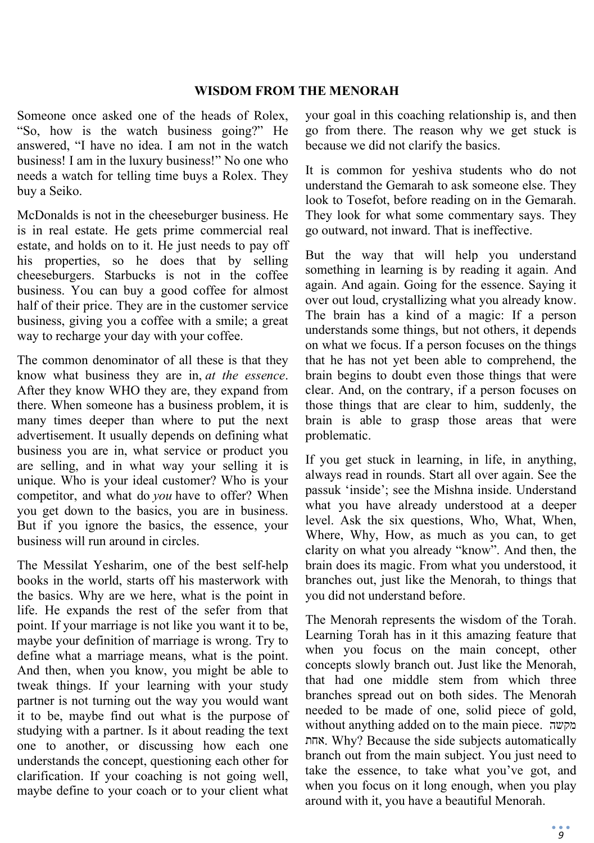#### **WISDOM FROM THE MENORAH**

Someone once asked one of the heads of Rolex, "So, how is the watch business going?" He answered, "I have no idea. I am not in the watch business! I am in the luxury business!" No one who needs a watch for telling time buys a Rolex. They buy a Seiko.

McDonalds is not in the cheeseburger business. He is in real estate. He gets prime commercial real estate, and holds on to it. He just needs to pay off his properties, so he does that by selling cheeseburgers. Starbucks is not in the coffee business. You can buy a good coffee for almost half of their price. They are in the customer service business, giving you a coffee with a smile; a great way to recharge your day with your coffee.

The common denominator of all these is that they know what business they are in, *at the essence*. After they know WHO they are, they expand from there. When someone has a business problem, it is many times deeper than where to put the next advertisement. It usually depends on defining what business you are in, what service or product you are selling, and in what way your selling it is unique. Who is your ideal customer? Who is your competitor, and what do *you* have to offer? When you get down to the basics, you are in business. But if you ignore the basics, the essence, your business will run around in circles.

The Messilat Yesharim, one of the best self-help books in the world, starts off his masterwork with the basics. Why are we here, what is the point in life. He expands the rest of the sefer from that point. If your marriage is not like you want it to be, maybe your definition of marriage is wrong. Try to define what a marriage means, what is the point. And then, when you know, you might be able to tweak things. If your learning with your study partner is not turning out the way you would want it to be, maybe find out what is the purpose of studying with a partner. Is it about reading the text one to another, or discussing how each one understands the concept, questioning each other for clarification. If your coaching is not going well, maybe define to your coach or to your client what

your goal in this coaching relationship is, and then go from there. The reason why we get stuck is because we did not clarify the basics.

It is common for yeshiva students who do not understand the Gemarah to ask someone else. They look to Tosefot, before reading on in the Gemarah. They look for what some commentary says. They go outward, not inward. That is ineffective.

But the way that will help you understand something in learning is by reading it again. And again. And again. Going for the essence. Saying it over out loud, crystallizing what you already know. The brain has a kind of a magic: If a person understands some things, but not others, it depends on what we focus. If a person focuses on the things that he has not yet been able to comprehend, the brain begins to doubt even those things that were clear. And, on the contrary, if a person focuses on those things that are clear to him, suddenly, the brain is able to grasp those areas that were problematic.

If you get stuck in learning, in life, in anything, always read in rounds. Start all over again. See the passuk 'inside'; see the Mishna inside. Understand what you have already understood at a deeper level. Ask the six questions, Who, What, When, Where, Why, How, as much as you can, to get clarity on what you already "know". And then, the brain does its magic. From what you understood, it branches out, just like the Menorah, to things that you did not understand before.

The Menorah represents the wisdom of the Torah. Learning Torah has in it this amazing feature that when you focus on the main concept, other concepts slowly branch out. Just like the Menorah, that had one middle stem from which three branches spread out on both sides. The Menorah needed to be made of one, solid piece of gold, without anything added on to the main piece. מקשה אחת. Why? Because the side subjects automatically branch out from the main subject. You just need to take the essence, to take what you've got, and when you focus on it long enough, when you play around with it, you have a beautiful Menorah.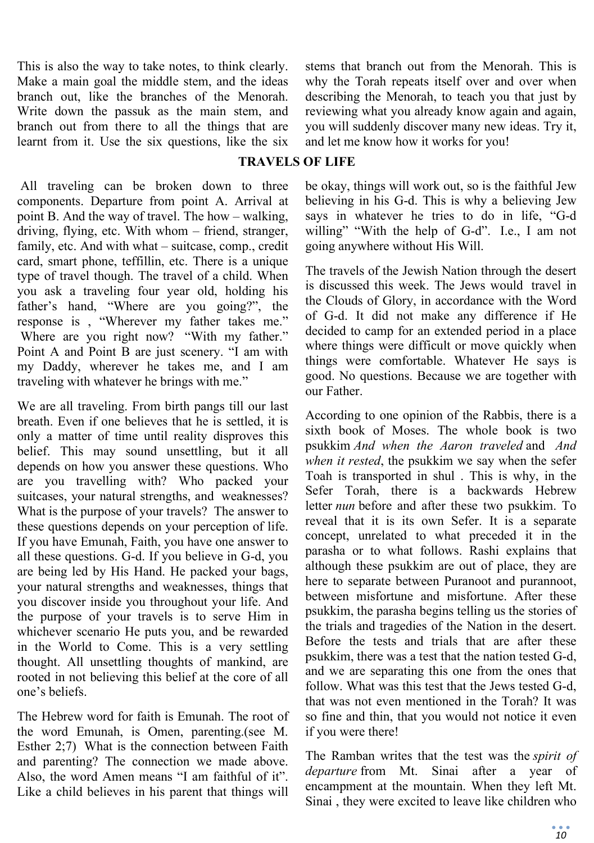This is also the way to take notes, to think clearly. Make a main goal the middle stem, and the ideas branch out, like the branches of the Menorah. Write down the passuk as the main stem, and branch out from there to all the things that are learnt from it. Use the six questions, like the six

stems that branch out from the Menorah. This is why the Torah repeats itself over and over when describing the Menorah, to teach you that just by reviewing what you already know again and again, you will suddenly discover many new ideas. Try it, and let me know how it works for you!

## **TRAVELS OF LIFE**

All traveling can be broken down to three components. Departure from point A. Arrival at point B. And the way of travel. The how – walking, driving, flying, etc. With whom – friend, stranger, family, etc. And with what – suitcase, comp., credit card, smart phone, teffillin, etc. There is a unique type of travel though. The travel of a child. When you ask a traveling four year old, holding his father's hand, "Where are you going?", the response is , "Wherever my father takes me." Where are you right now? "With my father." Point A and Point B are just scenery. "I am with my Daddy, wherever he takes me, and I am traveling with whatever he brings with me."

We are all traveling. From birth pangs till our last breath. Even if one believes that he is settled, it is only a matter of time until reality disproves this belief. This may sound unsettling, but it all depends on how you answer these questions. Who are you travelling with? Who packed your suitcases, your natural strengths, and weaknesses? What is the purpose of your travels? The answer to these questions depends on your perception of life. If you have Emunah, Faith, you have one answer to all these questions. G-d. If you believe in G-d, you are being led by His Hand. He packed your bags, your natural strengths and weaknesses, things that you discover inside you throughout your life. And the purpose of your travels is to serve Him in whichever scenario He puts you, and be rewarded in the World to Come. This is a very settling thought. All unsettling thoughts of mankind, are rooted in not believing this belief at the core of all one's beliefs.

The Hebrew word for faith is Emunah. The root of the word Emunah, is Omen, parenting.(see M. Esther 2;7) What is the connection between Faith and parenting? The connection we made above. Also, the word Amen means "I am faithful of it". Like a child believes in his parent that things will

be okay, things will work out, so is the faithful Jew believing in his G-d. This is why a believing Jew says in whatever he tries to do in life, "G-d willing" "With the help of G-d". I.e., I am not going anywhere without His Will.

The travels of the Jewish Nation through the desert is discussed this week. The Jews would travel in the Clouds of Glory, in accordance with the Word of G-d. It did not make any difference if He decided to camp for an extended period in a place where things were difficult or move quickly when things were comfortable. Whatever He says is good. No questions. Because we are together with our Father.

According to one opinion of the Rabbis, there is a sixth book of Moses. The whole book is two psukkim *And when the Aaron traveled* and *And when it rested*, the psukkim we say when the sefer Toah is transported in shul . This is why, in the Sefer Torah, there is a backwards Hebrew letter *nun* before and after these two psukkim. To reveal that it is its own Sefer. It is a separate concept, unrelated to what preceded it in the parasha or to what follows. Rashi explains that although these psukkim are out of place, they are here to separate between Puranoot and purannoot, between misfortune and misfortune. After these psukkim, the parasha begins telling us the stories of the trials and tragedies of the Nation in the desert. Before the tests and trials that are after these psukkim, there was a test that the nation tested G-d, and we are separating this one from the ones that follow. What was this test that the Jews tested G-d, that was not even mentioned in the Torah? It was so fine and thin, that you would not notice it even if you were there!

The Ramban writes that the test was the *spirit of departure* from Mt. Sinai after a year of encampment at the mountain. When they left Mt. Sinai , they were excited to leave like children who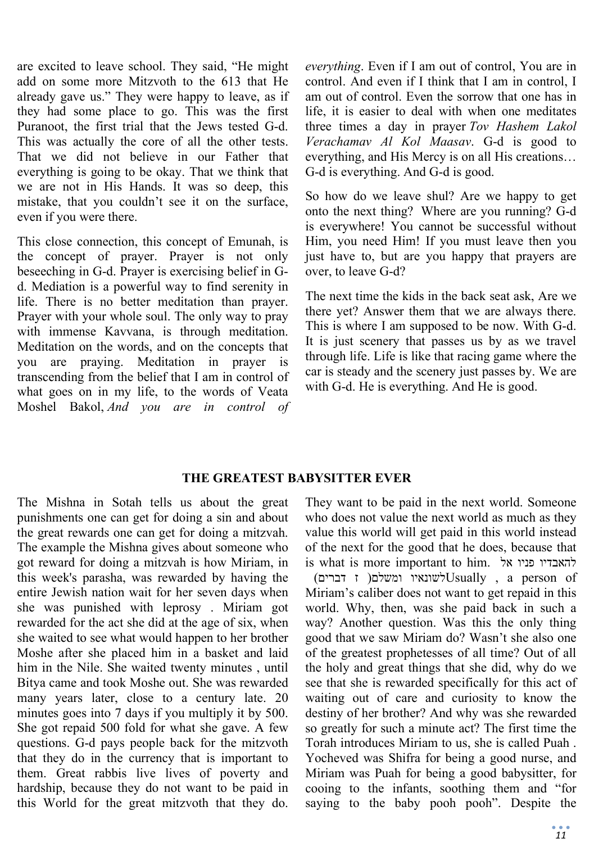are excited to leave school. They said, "He might add on some more Mitzvoth to the 613 that He already gave us." They were happy to leave, as if they had some place to go. This was the first Puranoot, the first trial that the Jews tested G-d. This was actually the core of all the other tests. That we did not believe in our Father that everything is going to be okay. That we think that we are not in His Hands. It was so deep, this mistake, that you couldn't see it on the surface, even if you were there.

This close connection, this concept of Emunah, is the concept of prayer. Prayer is not only beseeching in G-d. Prayer is exercising belief in Gd. Mediation is a powerful way to find serenity in life. There is no better meditation than prayer. Prayer with your whole soul. The only way to pray with immense Kavvana, is through meditation. Meditation on the words, and on the concepts that you are praying. Meditation in prayer is transcending from the belief that I am in control of what goes on in my life, to the words of Veata Moshel Bakol, *And you are in control of*  *everything*. Even if I am out of control, You are in control. And even if I think that I am in control, I am out of control. Even the sorrow that one has in life, it is easier to deal with when one meditates three times a day in prayer *Tov Hashem Lakol Verachamav Al Kol Maasav*. G-d is good to everything, and His Mercy is on all His creations… G-d is everything. And G-d is good.

So how do we leave shul? Are we happy to get onto the next thing? Where are you running? G-d is everywhere! You cannot be successful without Him, you need Him! If you must leave then you just have to, but are you happy that prayers are over, to leave G-d?

The next time the kids in the back seat ask, Are we there yet? Answer them that we are always there. This is where I am supposed to be now. With G-d. It is just scenery that passes us by as we travel through life. Life is like that racing game where the car is steady and the scenery just passes by. We are with G-d. He is everything. And He is good.

### **THE GREATEST BABYSITTER EVER**

The Mishna in Sotah tells us about the great punishments one can get for doing a sin and about the great rewards one can get for doing a mitzvah. The example the Mishna gives about someone who got reward for doing a mitzvah is how Miriam, in this week's parasha, was rewarded by having the entire Jewish nation wait for her seven days when she was punished with leprosy . Miriam got rewarded for the act she did at the age of six, when she waited to see what would happen to her brother Moshe after she placed him in a basket and laid him in the Nile. She waited twenty minutes , until Bitya came and took Moshe out. She was rewarded many years later, close to a century late. 20 minutes goes into 7 days if you multiply it by 500. She got repaid 500 fold for what she gave. A few questions. G-d pays people back for the mitzvoth that they do in the currency that is important to them. Great rabbis live lives of poverty and hardship, because they do not want to be paid in this World for the great mitzvoth that they do.

They want to be paid in the next world. Someone who does not value the next world as much as they value this world will get paid in this world instead of the next for the good that he does, because that is what is more important to him. להאבדיו פניו אל

 of person a , Usuallyלשונאיו ומשלם( ז דברים) Miriam's caliber does not want to get repaid in this world. Why, then, was she paid back in such a way? Another question. Was this the only thing good that we saw Miriam do? Wasn't she also one of the greatest prophetesses of all time? Out of all the holy and great things that she did, why do we see that she is rewarded specifically for this act of waiting out of care and curiosity to know the destiny of her brother? And why was she rewarded so greatly for such a minute act? The first time the Torah introduces Miriam to us, she is called Puah . Yocheved was Shifra for being a good nurse, and Miriam was Puah for being a good babysitter, for cooing to the infants, soothing them and "for saying to the baby pooh pooh". Despite the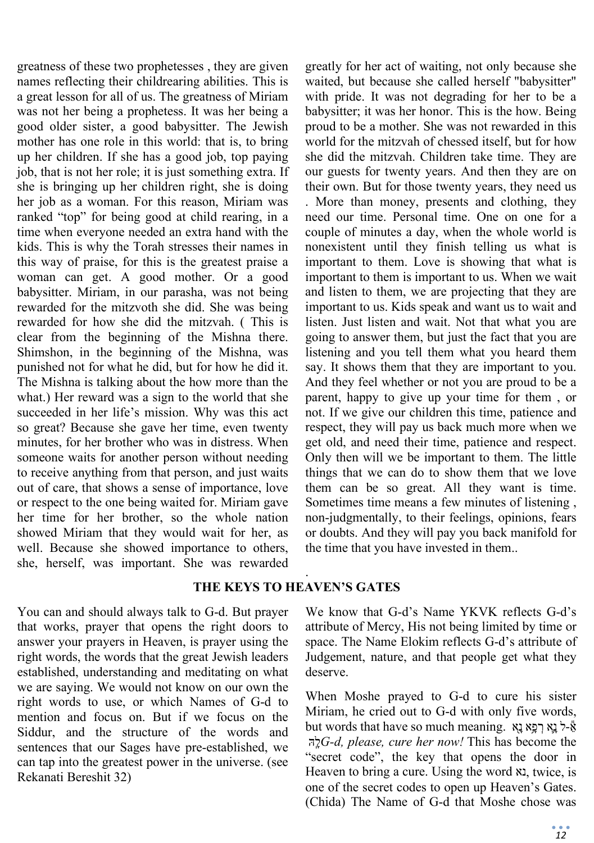greatness of these two prophetesses , they are given names reflecting their childrearing abilities. This is a great lesson for all of us. The greatness of Miriam was not her being a prophetess. It was her being a good older sister, a good babysitter. The Jewish mother has one role in this world: that is, to bring up her children. If she has a good job, top paying job, that is not her role; it is just something extra. If she is bringing up her children right, she is doing her job as a woman. For this reason, Miriam was ranked "top" for being good at child rearing, in a time when everyone needed an extra hand with the kids. This is why the Torah stresses their names in this way of praise, for this is the greatest praise a woman can get. A good mother. Or a good babysitter. Miriam, in our parasha, was not being rewarded for the mitzvoth she did. She was being rewarded for how she did the mitzvah. ( This is clear from the beginning of the Mishna there. Shimshon, in the beginning of the Mishna, was punished not for what he did, but for how he did it. The Mishna is talking about the how more than the what.) Her reward was a sign to the world that she succeeded in her life's mission. Why was this act so great? Because she gave her time, even twenty minutes, for her brother who was in distress. When someone waits for another person without needing to receive anything from that person, and just waits out of care, that shows a sense of importance, love or respect to the one being waited for. Miriam gave her time for her brother, so the whole nation showed Miriam that they would wait for her, as well. Because she showed importance to others, she, herself, was important. She was rewarded

You can and should always talk to G-d. But prayer that works, prayer that opens the right doors to answer your prayers in Heaven, is prayer using the right words, the words that the great Jewish leaders established, understanding and meditating on what we are saying. We would not know on our own the right words to use, or which Names of G-d to mention and focus on. But if we focus on the Siddur, and the structure of the words and sentences that our Sages have pre-established, we can tap into the greatest power in the universe. (see Rekanati Bereshit 32)

greatly for her act of waiting, not only because she waited, but because she called herself "babysitter" with pride. It was not degrading for her to be a babysitter; it was her honor. This is the how. Being proud to be a mother. She was not rewarded in this world for the mitzvah of chessed itself, but for how she did the mitzvah. Children take time. They are our guests for twenty years. And then they are on their own. But for those twenty years, they need us . More than money, presents and clothing, they need our time. Personal time. One on one for a couple of minutes a day, when the whole world is nonexistent until they finish telling us what is important to them. Love is showing that what is important to them is important to us. When we wait and listen to them, we are projecting that they are important to us. Kids speak and want us to wait and listen. Just listen and wait. Not that what you are going to answer them, but just the fact that you are listening and you tell them what you heard them say. It shows them that they are important to you. And they feel whether or not you are proud to be a parent, happy to give up your time for them , or not. If we give our children this time, patience and respect, they will pay us back much more when we get old, and need their time, patience and respect. Only then will we be important to them. The little things that we can do to show them that we love them can be so great. All they want is time. Sometimes time means a few minutes of listening , non-judgmentally, to their feelings, opinions, fears or doubts. And they will pay you back manifold for the time that you have invested in them..

### . **THE KEYS TO HEAVEN'S GATES**

We know that G-d's Name YKVK reflects G-d's attribute of Mercy, His not being limited by time or space. The Name Elokim reflects G-d's attribute of Judgement, nature, and that people get what they deserve.

When Moshe prayed to G-d to cure his sister Miriam, he cried out to G-d with only five words, אֵל נַא רְפֵא נַא .words that have so much meaning . הָּֽל*G-d, please, cure her now!* This has become the "secret code", the key that opens the door in Heaven to bring a cure. Using the word נא, twice, is one of the secret codes to open up Heaven's Gates. (Chida) The Name of G-d that Moshe chose was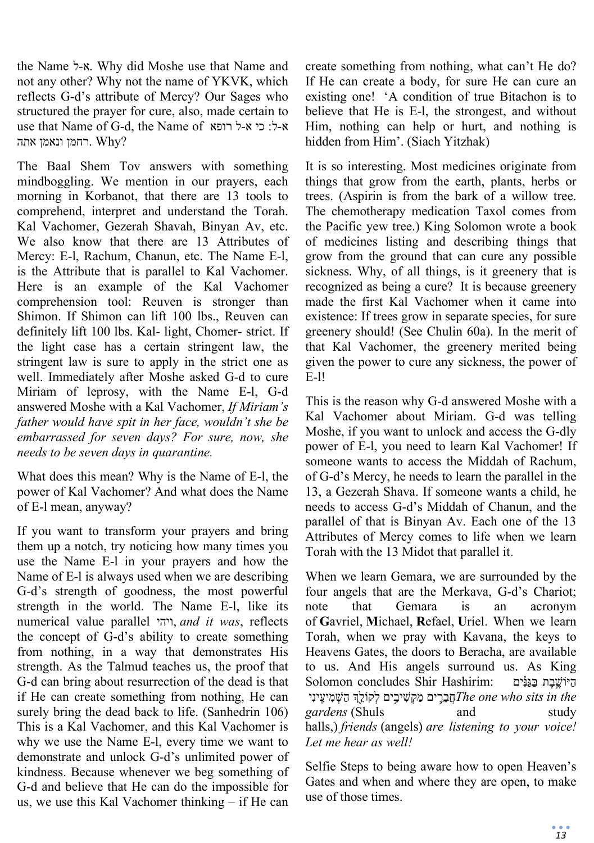the Name ל-א. Why did Moshe use that Name and not any other? Why not the name of YKVK, which reflects G-d's attribute of Mercy? Our Sages who structured the prayer for cure, also, made certain to use that Name of G-d, the Name of דופא ל-ל: כי א-ל ?Why .רחמן ונאמן אתה

The Baal Shem Tov answers with something mindboggling. We mention in our prayers, each morning in Korbanot, that there are 13 tools to comprehend, interpret and understand the Torah. Kal Vachomer, Gezerah Shavah, Binyan Av, etc. We also know that there are 13 Attributes of Mercy: E-l, Rachum, Chanun, etc. The Name E-l, is the Attribute that is parallel to Kal Vachomer. Here is an example of the Kal Vachomer comprehension tool: Reuven is stronger than Shimon. If Shimon can lift 100 lbs., Reuven can definitely lift 100 lbs. Kal- light, Chomer- strict. If the light case has a certain stringent law, the stringent law is sure to apply in the strict one as well. Immediately after Moshe asked G-d to cure Miriam of leprosy, with the Name E-l, G-d answered Moshe with a Kal Vachomer, *If Miriam's father would have spit in her face, wouldn't she be embarrassed for seven days? For sure, now, she needs to be seven days in quarantine.*

What does this mean? Why is the Name of E-l, the power of Kal Vachomer? And what does the Name of E-l mean, anyway?

If you want to transform your prayers and bring them up a notch, try noticing how many times you use the Name E-l in your prayers and how the Name of E-l is always used when we are describing G-d's strength of goodness, the most powerful strength in the world. The Name E-l, like its numerical value parallel ויהי, *and it was*, reflects the concept of G-d's ability to create something from nothing, in a way that demonstrates His strength. As the Talmud teaches us, the proof that G-d can bring about resurrection of the dead is that if He can create something from nothing, He can surely bring the dead back to life. (Sanhedrin 106) This is a Kal Vachomer, and this Kal Vachomer is why we use the Name E-l, every time we want to demonstrate and unlock G-d's unlimited power of kindness. Because whenever we beg something of G-d and believe that He can do the impossible for us, we use this Kal Vachomer thinking – if He can

create something from nothing, what can't He do? If He can create a body, for sure He can cure an existing one! 'A condition of true Bitachon is to believe that He is E-l, the strongest, and without Him, nothing can help or hurt, and nothing is hidden from Him'. (Siach Yitzhak)

It is so interesting. Most medicines originate from things that grow from the earth, plants, herbs or trees. (Aspirin is from the bark of a willow tree. The chemotherapy medication Taxol comes from the Pacific yew tree.) King Solomon wrote a book of medicines listing and describing things that grow from the ground that can cure any possible sickness. Why, of all things, is it greenery that is recognized as being a cure? It is because greenery made the first Kal Vachomer when it came into existence: If trees grow in separate species, for sure greenery should! (See Chulin 60a). In the merit of that Kal Vachomer, the greenery merited being given the power to cure any sickness, the power of E-l!

This is the reason why G-d answered Moshe with a Kal Vachomer about Miriam. G-d was telling Moshe, if you want to unlock and access the G-dly power of E-l, you need to learn Kal Vachomer! If someone wants to access the Middah of Rachum, of G-d's Mercy, he needs to learn the parallel in the 13, a Gezerah Shava. If someone wants a child, he needs to access G-d's Middah of Chanun, and the parallel of that is Binyan Av. Each one of the 13 Attributes of Mercy comes to life when we learn Torah with the 13 Midot that parallel it.

When we learn Gemara, we are surrounded by the four angels that are the Merkava, G-d's Chariot; note that Gemara is an acronym of **G**avriel, **M**ichael, **R**efael, **U**riel. When we learn Torah, when we pray with Kavana, the keys to Heavens Gates, the doors to Beracha, are available to us. And His angels surround us. As King הַיּוֹשֱבֶת בַּגַּנִּׂיִם : Solomon concludes Shir Hashirim: ינִינִי *The one who sits in the gardens* (Shuls and study halls,) *friends* (angels) *are listening to your voice! Let me hear as well!*

Selfie Steps to being aware how to open Heaven's Gates and when and where they are open, to make use of those times.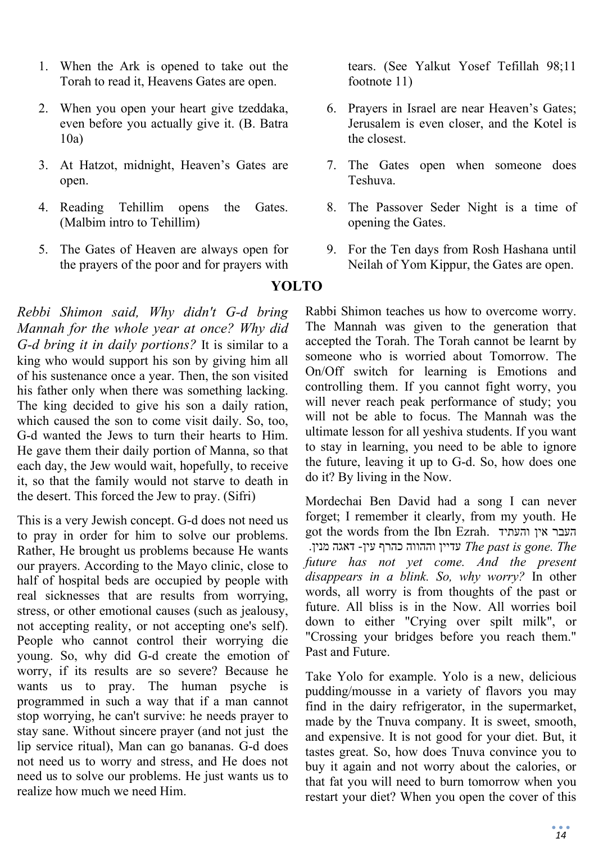- 1. When the Ark is opened to take out the Torah to read it, Heavens Gates are open.
- 2. When you open your heart give tzeddaka, even before you actually give it. (B. Batra 10a)
- 3. At Hatzot, midnight, Heaven's Gates are open.
- 4. Reading Tehillim opens the Gates. (Malbim intro to Tehillim)
- 5. The Gates of Heaven are always open for the prayers of the poor and for prayers with

*Rebbi Shimon said, Why didn't G-d bring Mannah for the whole year at once? Why did G-d bring it in daily portions?* It is similar to a king who would support his son by giving him all of his sustenance once a year. Then, the son visited his father only when there was something lacking. The king decided to give his son a daily ration, which caused the son to come visit daily. So, too, G-d wanted the Jews to turn their hearts to Him. He gave them their daily portion of Manna, so that each day, the Jew would wait, hopefully, to receive it, so that the family would not starve to death in the desert. This forced the Jew to pray. (Sifri)

This is a very Jewish concept. G-d does not need us to pray in order for him to solve our problems. Rather, He brought us problems because He wants our prayers. According to the Mayo clinic, close to half of hospital beds are occupied by people with real sicknesses that are results from worrying, stress, or other emotional causes (such as jealousy, not accepting reality, or not accepting one's self). People who cannot control their worrying die young. So, why did G-d create the emotion of worry, if its results are so severe? Because he wants us to pray. The human psyche is programmed in such a way that if a man cannot stop worrying, he can't survive: he needs prayer to stay sane. Without sincere prayer (and not just the lip service ritual), Man can go bananas. G-d does not need us to worry and stress, and He does not need us to solve our problems. He just wants us to realize how much we need Him.

tears. (See Yalkut Yosef Tefillah 98;11 footnote 11)

- 6. Prayers in Israel are near Heaven's Gates; Jerusalem is even closer, and the Kotel is the closest.
- 7. The Gates open when someone does Teshuva.
- 8. The Passover Seder Night is a time of opening the Gates.
- 9. For the Ten days from Rosh Hashana until Neilah of Yom Kippur, the Gates are open.

# **YOLTO**

Rabbi Shimon teaches us how to overcome worry. The Mannah was given to the generation that accepted the Torah. The Torah cannot be learnt by someone who is worried about Tomorrow. The On/Off switch for learning is Emotions and controlling them. If you cannot fight worry, you will never reach peak performance of study; you will not be able to focus. The Mannah was the ultimate lesson for all yeshiva students. If you want to stay in learning, you need to be able to ignore the future, leaving it up to G-d. So, how does one do it? By living in the Now.

Mordechai Ben David had a song I can never forget; I remember it clearly, from my youth. He got the words from the Ibn Ezrah. והעתיד אין העבר  *The .gone is past The* עדיין וההווה כהרף עין- דאגה מנין. *future has not yet come. And the present disappears in a blink. So, why worry?* In other words, all worry is from thoughts of the past or future. All bliss is in the Now. All worries boil down to either "Crying over spilt milk", or "Crossing your bridges before you reach them." Past and Future.

Take Yolo for example. Yolo is a new, delicious pudding/mousse in a variety of flavors you may find in the dairy refrigerator, in the supermarket, made by the Tnuva company. It is sweet, smooth, and expensive. It is not good for your diet. But, it tastes great. So, how does Tnuva convince you to buy it again and not worry about the calories, or that fat you will need to burn tomorrow when you restart your diet? When you open the cover of this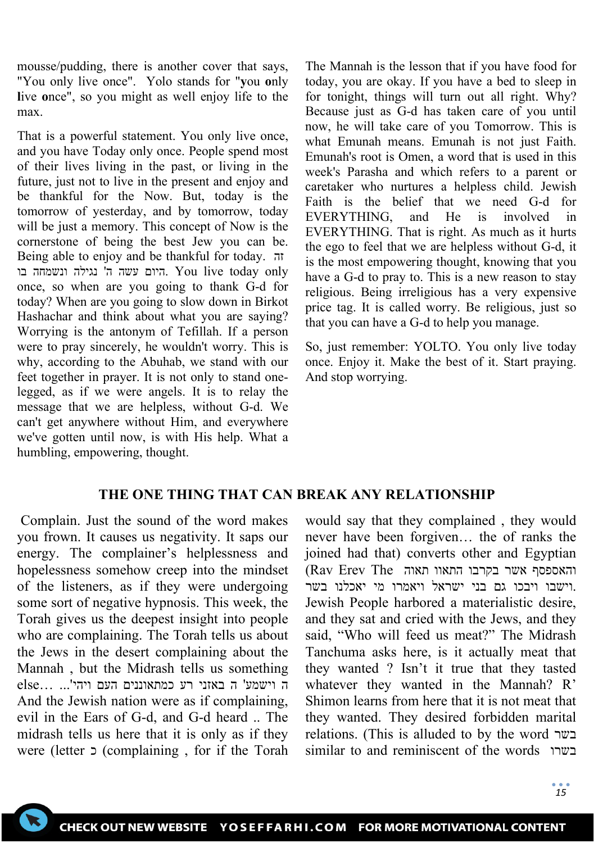mousse/pudding, there is another cover that says, "You only live once". Yolo stands for "**y**ou **o**nly **l**ive **o**nce", so you might as well enjoy life to the max.

That is a powerful statement. You only live once, and you have Today only once. People spend most of their lives living in the past, or living in the future, just not to live in the present and enjoy and be thankful for the Now. But, today is the tomorrow of yesterday, and by tomorrow, today will be just a memory. This concept of Now is the cornerstone of being the best Jew you can be. Being able to enjoy and be thankful for today. זה היום עשה ה' נגילה ונשמחה בו. You live today only once, so when are you going to thank G-d for today? When are you going to slow down in Birkot Hashachar and think about what you are saying? Worrying is the antonym of Tefillah. If a person were to pray sincerely, he wouldn't worry. This is why, according to the Abuhab, we stand with our feet together in prayer. It is not only to stand onelegged, as if we were angels. It is to relay the message that we are helpless, without G-d. We can't get anywhere without Him, and everywhere we've gotten until now, is with His help. What a humbling, empowering, thought.

The Mannah is the lesson that if you have food for today, you are okay. If you have a bed to sleep in for tonight, things will turn out all right. Why? Because just as G-d has taken care of you until now, he will take care of you Tomorrow. This is what Emunah means. Emunah is not just Faith. Emunah's root is Omen, a word that is used in this week's Parasha and which refers to a parent or caretaker who nurtures a helpless child. Jewish Faith is the belief that we need G-d for EVERYTHING, and He is involved in EVERYTHING. That is right. As much as it hurts the ego to feel that we are helpless without G-d, it is the most empowering thought, knowing that you have a G-d to pray to. This is a new reason to stay religious. Being irreligious has a very expensive price tag. It is called worry. Be religious, just so that you can have a G-d to help you manage.

So, just remember: YOLTO. You only live today once. Enjoy it. Make the best of it. Start praying. And stop worrying.

# **THE ONE THING THAT CAN BREAK ANY RELATIONSHIP**

Complain. Just the sound of the word makes you frown. It causes us negativity. It saps our energy. The complainer's helplessness and hopelessness somehow creep into the mindset of the listeners, as if they were undergoing some sort of negative hypnosis. This week, the Torah gives us the deepest insight into people who are complaining. The Torah tells us about the Jews in the desert complaining about the Mannah , but the Midrash tells us something ה וישמע' ה באזני רע כמתאוננים העם ויהי '... ...else And the Jewish nation were as if complaining, evil in the Ears of G-d, and G-d heard .. The midrash tells us here that it is only as if they were (letter כ) complaining , for if the Torah

would say that they complained , they would never have been forgiven… the of ranks the joined had that) converts other and Egyptian והאספסף אשר בקרבו התאוו תאוה The Erev Rav( .וישבו ויבכו גם בני ישראל ויאמרו מי יאכלנו בשר Jewish People harbored a materialistic desire, and they sat and cried with the Jews, and they said, "Who will feed us meat?" The Midrash Tanchuma asks here, is it actually meat that they wanted ? Isn't it true that they tasted whatever they wanted in the Mannah? R' Shimon learns from here that it is not meat that they wanted. They desired forbidden marital relations. (This is alluded to by the word בשר similar to and reminiscent of the words בשרו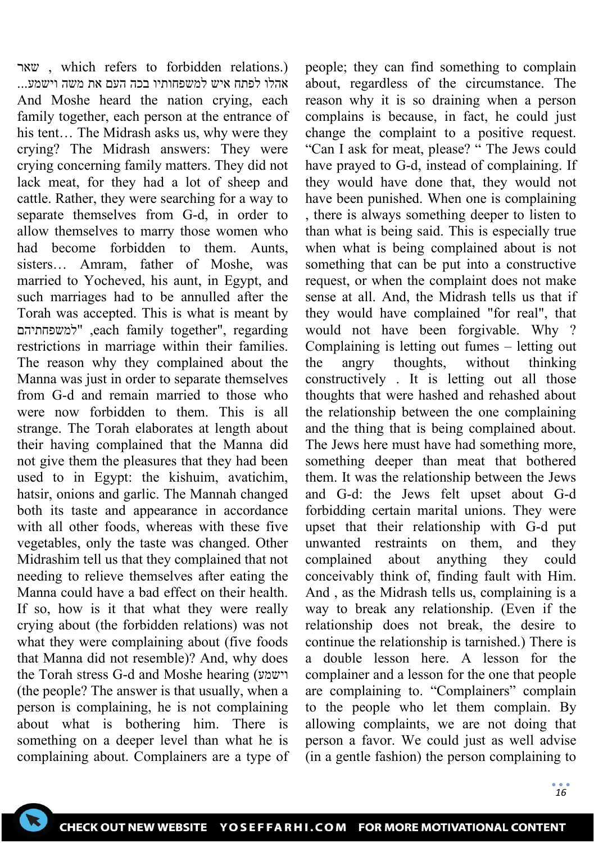שאר , which refers to forbidden relations.) אהלו לפתח איש למשפחותיו בכה העם את משה וישמע... And Moshe heard the nation crying, each family together, each person at the entrance of his tent… The Midrash asks us, why were they crying? The Midrash answers: They were crying concerning family matters. They did not lack meat, for they had a lot of sheep and cattle. Rather, they were searching for a way to separate themselves from G-d, in order to allow themselves to marry those women who had become forbidden to them. Aunts, sisters… Amram, father of Moshe, was married to Yocheved, his aunt, in Egypt, and such marriages had to be annulled after the Torah was accepted. This is what is meant by למשפחתיהם ",each family together", regarding restrictions in marriage within their families. The reason why they complained about the Manna was just in order to separate themselves from G-d and remain married to those who were now forbidden to them. This is all strange. The Torah elaborates at length about their having complained that the Manna did not give them the pleasures that they had been used to in Egypt: the kishuim, avatichim, hatsir, onions and garlic. The Mannah changed both its taste and appearance in accordance with all other foods, whereas with these five vegetables, only the taste was changed. Other Midrashim tell us that they complained that not needing to relieve themselves after eating the Manna could have a bad effect on their health. If so, how is it that what they were really crying about (the forbidden relations) was not what they were complaining about (five foods that Manna did not resemble)? And, why does the Torah stress G-d and Moshe hearing (וישמע (the people? The answer is that usually, when a person is complaining, he is not complaining about what is bothering him. There is something on a deeper level than what he is complaining about. Complainers are a type of

about, regardless of the circumstance. The reason why it is so draining when a person complains is because, in fact, he could just change the complaint to a positive request. "Can I ask for meat, please? " The Jews could have prayed to G-d, instead of complaining. If they would have done that, they would not have been punished. When one is complaining , there is always something deeper to listen to than what is being said. This is especially true when what is being complained about is not something that can be put into a constructive request, or when the complaint does not make sense at all. And, the Midrash tells us that if they would have complained "for real", that would not have been forgivable. Why ? Complaining is letting out fumes – letting out the angry thoughts, without thinking constructively . It is letting out all those thoughts that were hashed and rehashed about the relationship between the one complaining and the thing that is being complained about. The Jews here must have had something more, something deeper than meat that bothered them. It was the relationship between the Jews and G-d: the Jews felt upset about G-d forbidding certain marital unions. They were upset that their relationship with G-d put unwanted restraints on them, and they complained about anything they could conceivably think of, finding fault with Him. And , as the Midrash tells us, complaining is a way to break any relationship. (Even if the relationship does not break, the desire to continue the relationship is tarnished.) There is a double lesson here. A lesson for the complainer and a lesson for the one that people are complaining to. "Complainers" complain to the people who let them complain. By allowing complaints, we are not doing that person a favor. We could just as well advise (in a gentle fashion) the person complaining to

people; they can find something to complain